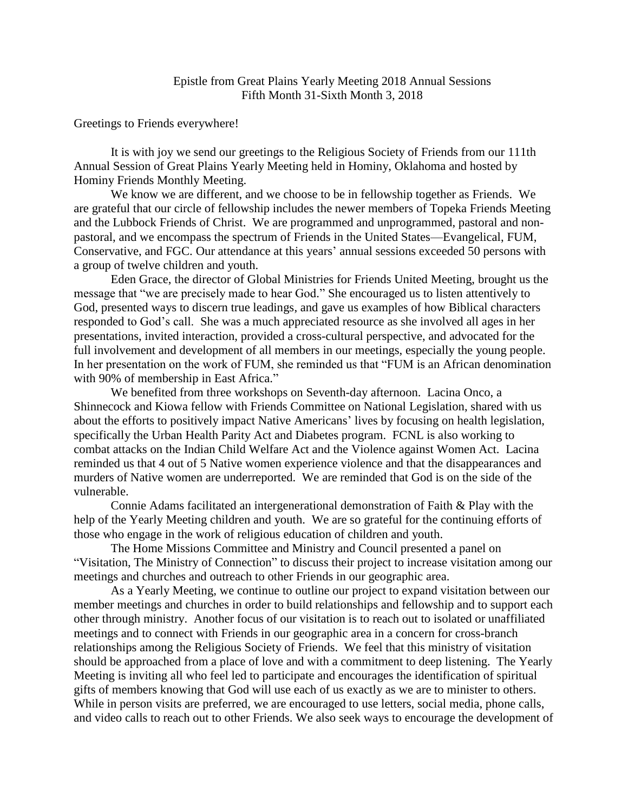Greetings to Friends everywhere!

It is with joy we send our greetings to the Religious Society of Friends from our 111th Annual Session of Great Plains Yearly Meeting held in Hominy, Oklahoma and hosted by Hominy Friends Monthly Meeting.

We know we are different, and we choose to be in fellowship together as Friends. We are grateful that our circle of fellowship includes the newer members of Topeka Friends Meeting and the Lubbock Friends of Christ. We are programmed and unprogrammed, pastoral and nonpastoral, and we encompass the spectrum of Friends in the United States—Evangelical, FUM, Conservative, and FGC. Our attendance at this years' annual sessions exceeded 50 persons with a group of twelve children and youth.

Eden Grace, the director of Global Ministries for Friends United Meeting, brought us the message that "we are precisely made to hear God." She encouraged us to listen attentively to God, presented ways to discern true leadings, and gave us examples of how Biblical characters responded to God's call. She was a much appreciated resource as she involved all ages in her presentations, invited interaction, provided a cross-cultural perspective, and advocated for the full involvement and development of all members in our meetings, especially the young people. In her presentation on the work of FUM, she reminded us that "FUM is an African denomination with 90% of membership in East Africa."

We benefited from three workshops on Seventh-day afternoon. Lacina Onco, a Shinnecock and Kiowa fellow with Friends Committee on National Legislation, shared with us about the efforts to positively impact Native Americans' lives by focusing on health legislation, specifically the Urban Health Parity Act and Diabetes program. FCNL is also working to combat attacks on the Indian Child Welfare Act and the Violence against Women Act. Lacina reminded us that 4 out of 5 Native women experience violence and that the disappearances and murders of Native women are underreported. We are reminded that God is on the side of the vulnerable.

Connie Adams facilitated an intergenerational demonstration of Faith & Play with the help of the Yearly Meeting children and youth. We are so grateful for the continuing efforts of those who engage in the work of religious education of children and youth.

The Home Missions Committee and Ministry and Council presented a panel on "Visitation, The Ministry of Connection" to discuss their project to increase visitation among our meetings and churches and outreach to other Friends in our geographic area.

As a Yearly Meeting, we continue to outline our project to expand visitation between our member meetings and churches in order to build relationships and fellowship and to support each other through ministry. Another focus of our visitation is to reach out to isolated or unaffiliated meetings and to connect with Friends in our geographic area in a concern for cross-branch relationships among the Religious Society of Friends. We feel that this ministry of visitation should be approached from a place of love and with a commitment to deep listening. The Yearly Meeting is inviting all who feel led to participate and encourages the identification of spiritual gifts of members knowing that God will use each of us exactly as we are to minister to others. While in person visits are preferred, we are encouraged to use letters, social media, phone calls, and video calls to reach out to other Friends. We also seek ways to encourage the development of